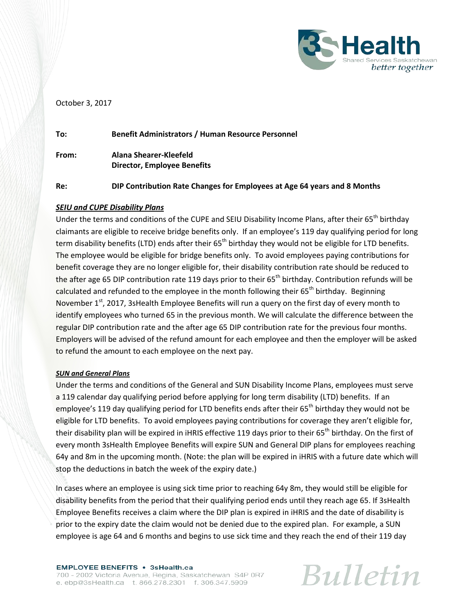

## October 3, 2017

| To:   | <b>Benefit Administrators / Human Resource Personnel</b>                 |
|-------|--------------------------------------------------------------------------|
| From: | Alana Shearer-Kleefeld<br>Director, Employee Benefits                    |
| Re:   | DIP Contribution Rate Changes for Employees at Age 64 years and 8 Months |

## *SEIU and CUPE Disability Plans*

Under the terms and conditions of the CUPE and SEIU Disability Income Plans, after their 65<sup>th</sup> birthday claimants are eligible to receive bridge benefits only. If an employee's 119 day qualifying period for long term disability benefits (LTD) ends after their  $65<sup>th</sup>$  birthday they would not be eligible for LTD benefits. The employee would be eligible for bridge benefits only. To avoid employees paying contributions for benefit coverage they are no longer eligible for, their disability contribution rate should be reduced to the after age 65 DIP contribution rate 119 days prior to their 65<sup>th</sup> birthday. Contribution refunds will be calculated and refunded to the employee in the month following their 65<sup>th</sup> birthday. Beginning November  $1<sup>st</sup>$ , 2017, 3sHealth Employee Benefits will run a query on the first day of every month to identify employees who turned 65 in the previous month. We will calculate the difference between the regular DIP contribution rate and the after age 65 DIP contribution rate for the previous four months. Employers will be advised of the refund amount for each employee and then the employer will be asked to refund the amount to each employee on the next pay.

## *SUN and General Plans*

Under the terms and conditions of the General and SUN Disability Income Plans, employees must serve a 119 calendar day qualifying period before applying for long term disability (LTD) benefits. If an employee's 119 day qualifying period for LTD benefits ends after their  $65<sup>th</sup>$  birthday they would not be eligible for LTD benefits. To avoid employees paying contributions for coverage they aren't eligible for, their disability plan will be expired in iHRIS effective 119 days prior to their 65<sup>th</sup> birthday. On the first of every month 3sHealth Employee Benefits will expire SUN and General DIP plans for employees reaching 64y and 8m in the upcoming month. (Note: the plan will be expired in iHRIS with a future date which will stop the deductions in batch the week of the expiry date.)

In cases where an employee is using sick time prior to reaching 64y 8m, they would still be eligible for disability benefits from the period that their qualifying period ends until they reach age 65. If 3sHealth Employee Benefits receives a claim where the DIP plan is expired in iHRIS and the date of disability is prior to the expiry date the claim would not be denied due to the expired plan. For example, a SUN employee is age 64 and 6 months and begins to use sick time and they reach the end of their 119 day